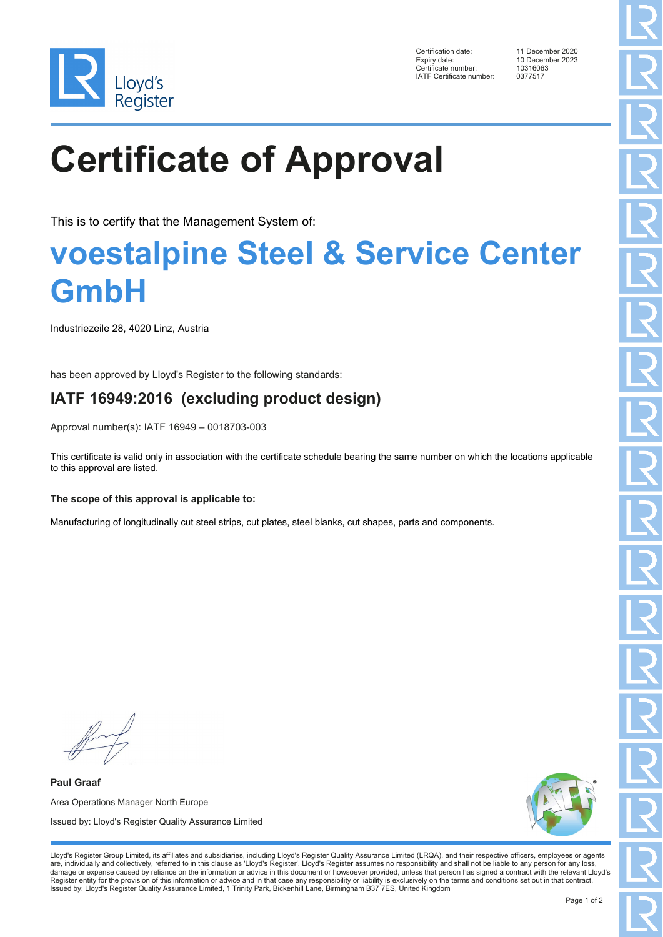

Certification date: 11 December 2020 Expiry date: 10 December 2023<br>Certificate number: 10316063 Certificate number: 1031606<br>Certificate number: 1031606<br>IATF Certificate number: 0377517 IATF Certificate number:

# **Certificate of Approval**

This is to certify that the Management System of:

### **voestalpine Steel & Service Center GmbH**

Industriezeile 28, 4020 Linz, Austria

has been approved by Lloyd's Register to the following standards:

### **IATF 16949:2016 (excluding product design)**

Approval number(s): IATF 16949 – 0018703-003

This certificate is valid only in association with the certificate schedule bearing the same number on which the locations applicable to this approval are listed.

### **The scope of this approval is applicable to:**

Manufacturing of longitudinally cut steel strips, cut plates, steel blanks, cut shapes, parts and components.

**Paul Graaf** Area Operations Manager North Europe Issued by: Lloyd's Register Quality Assurance Limited



Lloyd's Register Group Limited, its affiliates and subsidiaries, including Lloyd's Register Quality Assurance Limited (LRQA), and their respective officers, employees or agents are, individually and collectively, referred to in this clause as 'Lloyd's Register'. Lloyd's Register assumes no responsibility and shall not be liable to any person for any loss,<br>damage or expense caused by reliance on t Register entity for the provision of this information or advice and in that case any responsibility or liability is exclusively on the terms and conditions set out in that contract. Issued by: Lloyd's Register Quality Assurance Limited, 1 Trinity Park, Bickenhill Lane, Birmingham B37 7ES, United Kingdom